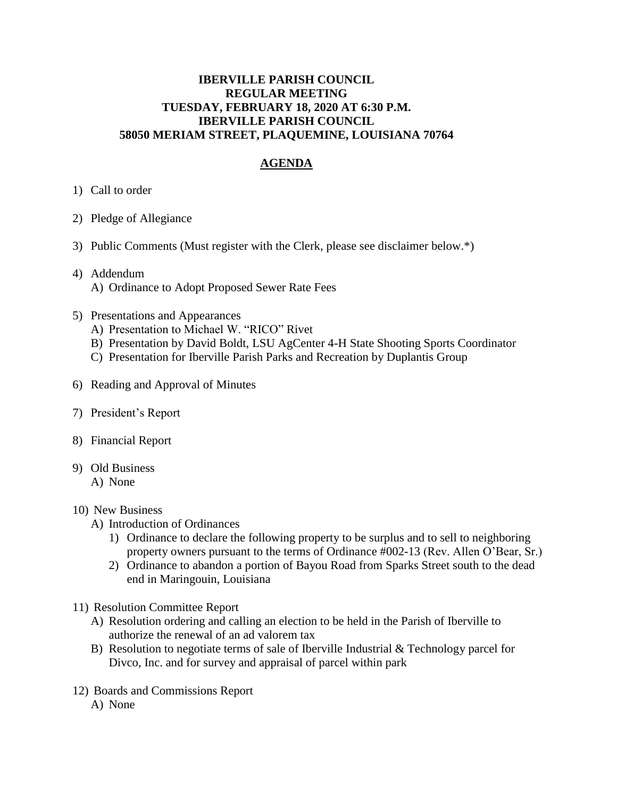## **IBERVILLE PARISH COUNCIL REGULAR MEETING TUESDAY, FEBRUARY 18, 2020 AT 6:30 P.M. IBERVILLE PARISH COUNCIL 58050 MERIAM STREET, PLAQUEMINE, LOUISIANA 70764**

## **AGENDA**

- 1) Call to order
- 2) Pledge of Allegiance
- 3) Public Comments (Must register with the Clerk, please see disclaimer below.\*)
- 4) Addendum A) Ordinance to Adopt Proposed Sewer Rate Fees
- 5) Presentations and Appearances
	- A) Presentation to Michael W. "RICO" Rivet
	- B) Presentation by David Boldt, LSU AgCenter 4-H State Shooting Sports Coordinator
	- C) Presentation for Iberville Parish Parks and Recreation by Duplantis Group
- 6) Reading and Approval of Minutes
- 7) President's Report
- 8) Financial Report
- 9) Old Business
	- A) None

## 10) New Business

- A) Introduction of Ordinances
	- 1) Ordinance to declare the following property to be surplus and to sell to neighboring property owners pursuant to the terms of Ordinance #002-13 (Rev. Allen O'Bear, Sr.)
	- 2) Ordinance to abandon a portion of Bayou Road from Sparks Street south to the dead end in Maringouin, Louisiana
- 11) Resolution Committee Report
	- A) Resolution ordering and calling an election to be held in the Parish of Iberville to authorize the renewal of an ad valorem tax
	- B) Resolution to negotiate terms of sale of Iberville Industrial  $&$  Technology parcel for Divco, Inc. and for survey and appraisal of parcel within park
- 12) Boards and Commissions Report
	- A) None